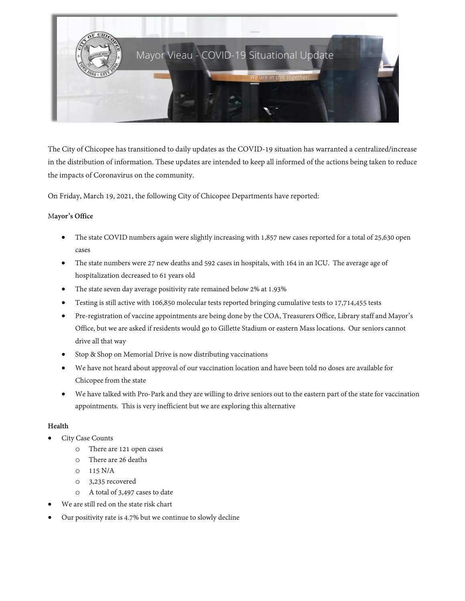

The City of Chicopee has transitioned to daily updates as the COVID-19 situation has warranted a centralized/increase in the distribution of information. These updates are intended to keep all informed of the actions being taken to reduce the impacts of Coronavirus on the community.

On Friday, March 19, 2021, the following City of Chicopee Departments have reported:

## M**ayor's Office**

- The state COVID numbers again were slightly increasing with 1,857 new cases reported for a total of 25,630 open cases
- The state numbers were 27 new deaths and 592 cases in hospitals, with 164 in an ICU. The average age of hospitalization decreased to 61 years old
- The state seven day average positivity rate remained below 2% at 1.93%
- Testing is still active with 106,850 molecular tests reported bringing cumulative tests to 17,714,455 tests
- Pre-registration of vaccine appointments are being done by the COA, Treasurers Office, Library staff and Mayor's Office, but we are asked if residents would go to Gillette Stadium or eastern Mass locations. Our seniors cannot drive all that way
- Stop & Shop on Memorial Drive is now distributing vaccinations
- We have not heard about approval of our vaccination location and have been told no doses are available for Chicopee from the state
- We have talked with Pro-Park and they are willing to drive seniors out to the eastern part of the state for vaccination appointments. This is very inefficient but we are exploring this alternative

# **Health**

- City Case Counts
	- o There are 121 open cases
	- o There are 26 deaths
	- o 115 N/A
	- o 3,235 recovered
	- o A total of 3,497 cases to date
- We are still red on the state risk chart
- Our positivity rate is 4.7% but we continue to slowly decline